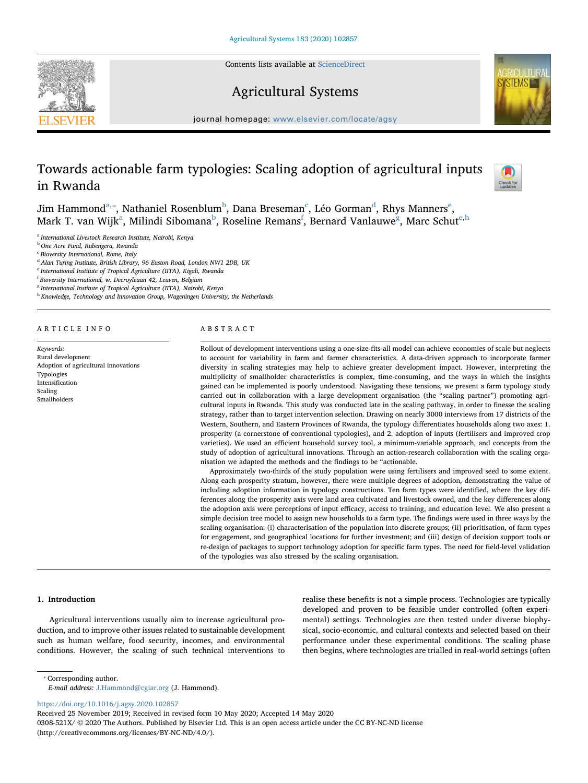Contents lists available at [ScienceDirect](http://www.sciencedirect.com/science/journal/0308521X)







 $j<sub>i</sub>$  is a homepage: [www.elsevier.com/locate/agsy](https://www.elsevier.com/locate/agsy)

# Towards actionable farm typologies: Scaling adoption of agricultural inputs in Rwanda



Jim H[a](#page-0-0)mmon[d](#page-0-4) $a_{i*}$ , Nathaniel Rosen[b](#page-0-2)lum $^{\rm b}$ , Dana Br[e](#page-0-5)seman $^{\rm c}$  $^{\rm c}$  $^{\rm c}$ , Léo Gorman $^{\rm d}$ , Rhys Manners $^{\rm e}$ , M[a](#page-0-0)rk T. van Wijk<sup>a</sup>, Milindi Si[b](#page-0-2)omana<sup>b</sup>, Roseline Remans<sup>[f](#page-0-6)</sup>, Bernard Vanlauwe<sup>[g](#page-0-7)</sup>, Marc Schut<sup>[e,](#page-0-5)[h](#page-0-8)</sup>

<span id="page-0-0"></span><sup>a</sup> International Livestock Research Institute, Nairobi, Kenya

<span id="page-0-2"></span><sup>b</sup> One Acre Fund, Rubengera, Rwanda

<span id="page-0-3"></span><sup>c</sup> Bioversity International, Rome, Italy

<span id="page-0-4"></span><sup>d</sup> Alan Turing Institute, British Library, 96 Euston Road, London NW1 2DB, UK

<span id="page-0-5"></span><sup>e</sup> International Institute of Tropical Agriculture (IITA), Kigali, Rwanda

<span id="page-0-6"></span><sup>f</sup> Bioversity International, w. Decroyleaan 42, Leuven, Belgium

<span id="page-0-7"></span><sup>8</sup> International Institute of Tropical Agriculture (IITA), Nairobi, Kenya

<span id="page-0-8"></span>h Knowledge, Technology and Innovation Group, Wageningen University, the Netherlands

## ARTICLE INFO

Keywords: Rural development Adoption of agricultural innovations Typologies Intensification Scaling Smallholders

## ABSTRACT

Rollout of development interventions using a one-size-fits-all model can achieve economies of scale but neglects to account for variability in farm and farmer characteristics. A data-driven approach to incorporate farmer diversity in scaling strategies may help to achieve greater development impact. However, interpreting the multiplicity of smallholder characteristics is complex, time-consuming, and the ways in which the insights gained can be implemented is poorly understood. Navigating these tensions, we present a farm typology study carried out in collaboration with a large development organisation (the "scaling partner") promoting agricultural inputs in Rwanda. This study was conducted late in the scaling pathway, in order to finesse the scaling strategy, rather than to target intervention selection. Drawing on nearly 3000 interviews from 17 districts of the Western, Southern, and Eastern Provinces of Rwanda, the typology differentiates households along two axes: 1. prosperity (a cornerstone of conventional typologies), and 2. adoption of inputs (fertilisers and improved crop varieties). We used an efficient household survey tool, a minimum-variable approach, and concepts from the study of adoption of agricultural innovations. Through an action-research collaboration with the scaling organisation we adapted the methods and the findings to be "actionable.

Approximately two-thirds of the study population were using fertilisers and improved seed to some extent. Along each prosperity stratum, however, there were multiple degrees of adoption, demonstrating the value of including adoption information in typology constructions. Ten farm types were identified, where the key differences along the prosperity axis were land area cultivated and livestock owned, and the key differences along the adoption axis were perceptions of input efficacy, access to training, and education level. We also present a simple decision tree model to assign new households to a farm type. The findings were used in three ways by the scaling organisation: (i) characterisation of the population into discrete groups; (ii) prioritisation, of farm types for engagement, and geographical locations for further investment; and (iii) design of decision support tools or re-design of packages to support technology adoption for specific farm types. The need for field-level validation of the typologies was also stressed by the scaling organisation.

#### 1. Introduction

Agricultural interventions usually aim to increase agricultural production, and to improve other issues related to sustainable development such as human welfare, food security, incomes, and environmental conditions. However, the scaling of such technical interventions to realise these benefits is not a simple process. Technologies are typically developed and proven to be feasible under controlled (often experimental) settings. Technologies are then tested under diverse biophysical, socio-economic, and cultural contexts and selected based on their performance under these experimental conditions. The scaling phase then begins, where technologies are trialled in real-world settings (often

<span id="page-0-1"></span>⁎ Corresponding author.

E-mail address: [J.Hammond@cgiar.org](mailto:J.Hammond@cgiar.org) (J. Hammond).

<https://doi.org/10.1016/j.agsy.2020.102857>

Received 25 November 2019; Received in revised form 10 May 2020; Accepted 14 May 2020 0308-521X/ © 2020 The Authors. Published by Elsevier Ltd. This is an open access article under the CC BY-NC-ND license (http://creativecommons.org/licenses/BY-NC-ND/4.0/).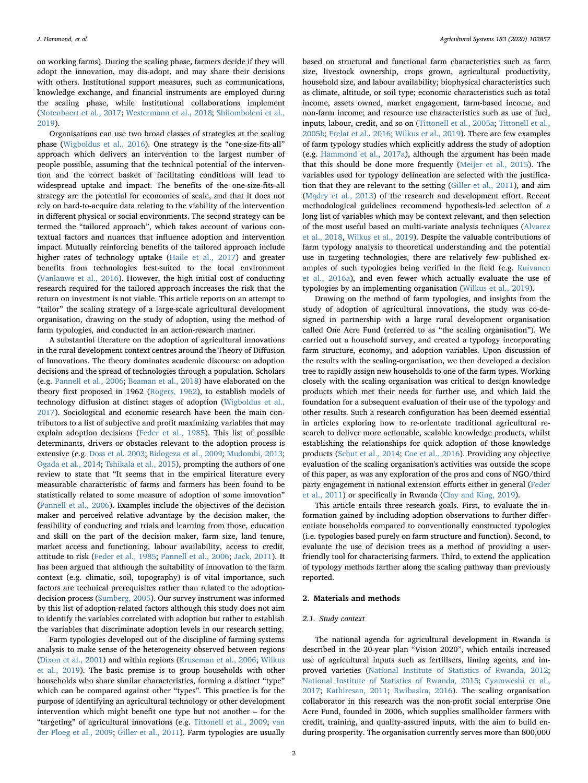on working farms). During the scaling phase, farmers decide if they will adopt the innovation, may dis-adopt, and may share their decisions with others. Institutional support measures, such as communications, knowledge exchange, and financial instruments are employed during the scaling phase, while institutional collaborations implement ([Notenbaert et al., 2017](#page-11-0); [Westermann et al., 2018;](#page-11-1) [Shilomboleni et al.,](#page-11-2) [2019\)](#page-11-2).

Organisations can use two broad classes of strategies at the scaling phase [\(Wigboldus et al., 2016](#page-11-3)). One strategy is the "one-size-fits-all" approach which delivers an intervention to the largest number of people possible, assuming that the technical potential of the intervention and the correct basket of facilitating conditions will lead to widespread uptake and impact. The benefits of the one-size-fits-all strategy are the potential for economies of scale, and that it does not rely on hard-to-acquire data relating to the viability of the intervention in different physical or social environments. The second strategy can be termed the "tailored approach", which takes account of various contextual factors and nuances that influence adoption and intervention impact. Mutually reinforcing benefits of the tailored approach include higher rates of technology uptake ([Haile et al., 2017\)](#page-10-0) and greater benefits from technologies best-suited to the local environment ([Vanlauwe et al., 2016](#page-11-4)). However, the high initial cost of conducting research required for the tailored approach increases the risk that the return on investment is not viable. This article reports on an attempt to "tailor" the scaling strategy of a large-scale agricultural development organisation, drawing on the study of adoption, using the method of farm typologies, and conducted in an action-research manner.

A substantial literature on the adoption of agricultural innovations in the rural development context centres around the Theory of Diffusion of Innovations. The theory dominates academic discourse on adoption decisions and the spread of technologies through a population. Scholars (e.g. [Pannell et al., 2006](#page-11-5); [Beaman et al., 2018](#page-10-1)) have elaborated on the theory first proposed in 1962 [\(Rogers, 1962\)](#page-11-6), to establish models of technology diffusion at distinct stages of adoption ([Wigboldus et al.,](#page-11-7) [2017\)](#page-11-7). Sociological and economic research have been the main contributors to a list of subjective and profit maximizing variables that may explain adoption decisions [\(Feder et al., 1985\)](#page-10-2). This list of possible determinants, drivers or obstacles relevant to the adoption process is extensive (e.g. [Doss et al. 2003;](#page-10-3) [Bidogeza et al., 2009;](#page-10-4) [Mudombi, 2013](#page-11-8); [Ogada et al., 2014](#page-11-9); Tshikala [et al., 2015](#page-11-10)), prompting the authors of one review to state that "It seems that in the empirical literature every measurable characteristic of farms and farmers has been found to be statistically related to some measure of adoption of some innovation" ([Pannell et al., 2006\)](#page-11-5). Examples include the objectives of the decision maker and perceived relative advantage by the decision maker, the feasibility of conducting and trials and learning from those, education and skill on the part of the decision maker, farm size, land tenure, market access and functioning, labour availability, access to credit, attitude to risk ([Feder et al., 1985](#page-10-2); [Pannell et al., 2006](#page-11-5); [Jack, 2011\)](#page-11-11). It has been argued that although the suitability of innovation to the farm context (e.g. climatic, soil, topography) is of vital importance, such factors are technical prerequisites rather than related to the adoptiondecision process [\(Sumberg, 2005\)](#page-11-12). Our survey instrument was informed by this list of adoption-related factors although this study does not aim to identify the variables correlated with adoption but rather to establish the variables that discriminate adoption levels in our research setting.

Farm typologies developed out of the discipline of farming systems analysis to make sense of the heterogeneity observed between regions ([Dixon et al., 2001](#page-10-5)) and within regions ([Kruseman et al., 2006;](#page-11-13) [Wilkus](#page-11-14) [et al., 2019](#page-11-14)). The basic premise is to group households with other households who share similar characteristics, forming a distinct "type" which can be compared against other "types". This practice is for the purpose of identifying an agricultural technology or other development intervention which might benefit one type but not another – for the "targeting" of agricultural innovations (e.g. [Tittonell et al., 2009;](#page-11-15) [van](#page-11-16) [der Ploeg et al., 2009](#page-11-16); [Giller et al., 2011](#page-10-6)). Farm typologies are usually

based on structural and functional farm characteristics such as farm size, livestock ownership, crops grown, agricultural productivity, household size, and labour availability; biophysical characteristics such as climate, altitude, or soil type; economic characteristics such as total income, assets owned, market engagement, farm-based income, and non-farm income; and resource use characteristics such as use of fuel, inputs, labour, credit, and so on [\(Tittonell et al., 2005a;](#page-11-17) [Tittonell et al.,](#page-11-18) [2005b;](#page-11-18) [Frelat et al., 2016;](#page-10-7) [Wilkus et al., 2019\)](#page-11-14). There are few examples of farm typology studies which explicitly address the study of adoption (e.g. [Hammond et al., 2017a](#page-10-8)), although the argument has been made that this should be done more frequently [\(Meijer et al., 2015](#page-11-19)). The variables used for typology delineation are selected with the justification that they are relevant to the setting [\(Giller et al., 2011\)](#page-10-6), and aim (Mą[dry et al., 2013](#page-11-20)) of the research and development effort. Recent methodological guidelines recommend hypothesis-led selection of a long list of variables which may be context relevant, and then selection of the most useful based on multi-variate analysis techniques ([Alvarez](#page-10-9) [et al., 2018](#page-10-9), [Wilkus et al., 2019\)](#page-11-14). Despite the valuable contributions of farm typology analysis to theoretical understanding and the potential use in targeting technologies, there are relatively few published examples of such typologies being verified in the field (e.g. [Kuivanen](#page-11-21) [et al., 2016a\)](#page-11-21), and even fewer which actually evaluate the use of typologies by an implementing organisation [\(Wilkus et al., 2019\)](#page-11-14).

Drawing on the method of farm typologies, and insights from the study of adoption of agricultural innovations, the study was co-designed in partnership with a large rural development organisation called One Acre Fund (referred to as "the scaling organisation"). We carried out a household survey, and created a typology incorporating farm structure, economy, and adoption variables. Upon discussion of the results with the scaling-organisation, we then developed a decision tree to rapidly assign new households to one of the farm types. Working closely with the scaling organisation was critical to design knowledge products which met their needs for further use, and which laid the foundation for a subsequent evaluation of their use of the typology and other results. Such a research configuration has been deemed essential in articles exploring how to re-orientate traditional agricultural research to deliver more actionable, scalable knowledge products, whilst establishing the relationships for quick adoption of those knowledge products ([Schut et al., 2014](#page-11-22); [Coe et al., 2016\)](#page-10-10). Providing any objective evaluation of the scaling organisation's activities was outside the scope of this paper, as was any exploration of the pros and cons of NGO/third party engagement in national extension efforts either in general ([Feder](#page-10-11) [et al., 2011](#page-10-11)) or specifically in Rwanda ([Clay and King, 2019](#page-10-12)).

This article entails three research goals. First, to evaluate the information gained by including adoption observations to further differentiate households compared to conventionally constructed typologies (i.e. typologies based purely on farm structure and function). Second, to evaluate the use of decision trees as a method of providing a userfriendly tool for characterising farmers. Third, to extend the application of typology methods farther along the scaling pathway than previously reported.

## 2. Materials and methods

### 2.1. Study context

The national agenda for agricultural development in Rwanda is described in the 20-year plan "Vision 2020", which entails increased use of agricultural inputs such as fertilisers, liming agents, and improved varieties ([National Institute of Statistics of Rwanda, 2012](#page-11-23); [National Institute of Statistics of Rwanda, 2015](#page-11-24); [Cyamweshi et al.,](#page-10-13) [2017;](#page-10-13) [Kathiresan, 2011;](#page-11-25) [Rwibasira, 2016\)](#page-11-26). The scaling organisation collaborator in this research was the non-profit social enterprise One Acre Fund, founded in 2006, which supplies smallholder farmers with credit, training, and quality-assured inputs, with the aim to build enduring prosperity. The organisation currently serves more than 800,000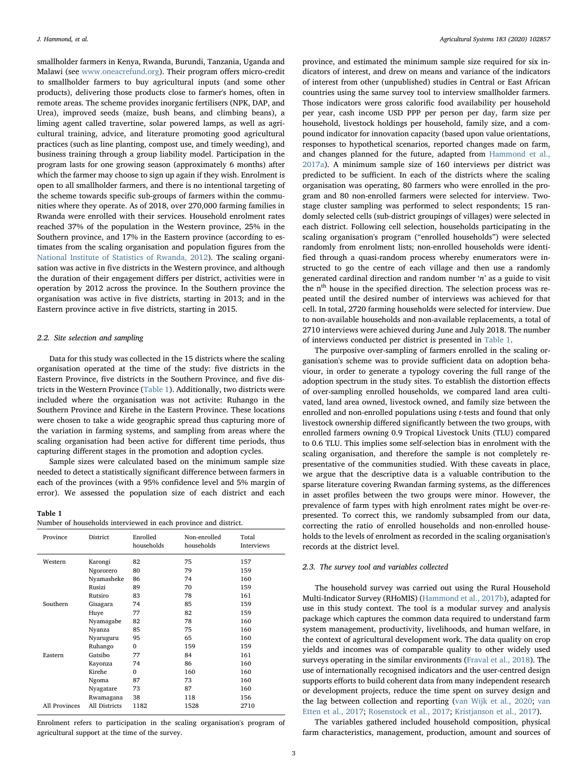smallholder farmers in Kenya, Rwanda, Burundi, Tanzania, Uganda and Malawi (see [www.oneacrefund.org](http://www.oneacrefund.org)). Their program offers micro-credit to smallholder farmers to buy agricultural inputs (and some other products), delivering those products close to farmer's homes, often in remote areas. The scheme provides inorganic fertilisers (NPK, DAP, and Urea), improved seeds (maize, bush beans, and climbing beans), a liming agent called travertine, solar powered lamps, as well as agricultural training, advice, and literature promoting good agricultural practices (such as line planting, compost use, and timely weeding), and business training through a group liability model. Participation in the program lasts for one growing season (approximately 6 months) after which the farmer may choose to sign up again if they wish. Enrolment is open to all smallholder farmers, and there is no intentional targeting of the scheme towards specific sub-groups of farmers within the communities where they operate. As of 2018, over 270,000 farming families in Rwanda were enrolled with their services. Household enrolment rates reached 37% of the population in the Western province, 25% in the Southern province, and 17% in the Eastern province (according to estimates from the scaling organisation and population figures from the [National Institute of Statistics of Rwanda, 2012\)](#page-11-23). The scaling organisation was active in five districts in the Western province, and although the duration of their engagement differs per district, activities were in operation by 2012 across the province. In the Southern province the organisation was active in five districts, starting in 2013; and in the Eastern province active in five districts, starting in 2015.

#### 2.2. Site selection and sampling

Data for this study was collected in the 15 districts where the scaling organisation operated at the time of the study: five districts in the Eastern Province, five districts in the Southern Province, and five districts in the Western Province ([Table 1](#page-2-0)). Additionally, two districts were included where the organisation was not activite: Ruhango in the Southern Province and Kirehe in the Eastern Province. These locations were chosen to take a wide geographic spread thus capturing more of the variation in farming systems, and sampling from areas where the scaling organisation had been active for different time periods, thus capturing different stages in the promotion and adoption cycles.

Sample sizes were calculated based on the minimum sample size needed to detect a statistically significant difference between farmers in each of the provinces (with a 95% confidence level and 5% margin of error). We assessed the population size of each district and each

#### <span id="page-2-0"></span>Table 1

| Number of households interviewed in each province and district. |
|-----------------------------------------------------------------|
|-----------------------------------------------------------------|

| Province      | District      | Enrolled<br>households | Non-enrolled<br>households | Total<br>Interviews |
|---------------|---------------|------------------------|----------------------------|---------------------|
| Western       | Karongi       | 82                     | 75                         | 157                 |
|               | Ngororero     | 80                     | 79                         | 159                 |
|               | Nyamasheke    | 86                     | 74                         | 160                 |
|               | Rusizi        | 89                     | 70                         | 159                 |
|               | Rutsiro       | 83                     | 78                         | 161                 |
| Southern      | Gisagara      | 74                     | 85                         | 159                 |
|               | Huye          | 77                     | 82                         | 159                 |
|               | Nyamagabe     | 82                     | 78                         | 160                 |
|               | Nyanza        | 85                     | 75                         | 160                 |
|               | Nyaruguru     | 95                     | 65                         | 160                 |
|               | Ruhango       | $\Omega$               | 159                        | 159                 |
| Eastern       | Gatsibo       | 77                     | 84                         | 161                 |
|               | Kayonza       | 74                     | 86                         | 160                 |
|               | Kirehe        | $\Omega$               | 160                        | 160                 |
|               | Ngoma         | 87                     | 73                         | 160                 |
|               | Nyagatare     | 73                     | 87                         | 160                 |
|               | Rwamagana     | 38                     | 118                        | 156                 |
| All Provinces | All Districts | 1182                   | 1528                       | 2710                |

Enrolment refers to participation in the scaling organisation's program of agricultural support at the time of the survey.

province, and estimated the minimum sample size required for six indicators of interest, and drew on means and variance of the indicators of interest from other (unpublished) studies in Central or East African countries using the same survey tool to interview smallholder farmers. Those indicators were gross calorific food availability per household per year, cash income USD PPP per person per day, farm size per household, livestock holdings per household, family size, and a compound indicator for innovation capacity (based upon value orientations, responses to hypothetical scenarios, reported changes made on farm, and changes planned for the future, adapted from [Hammond et al.,](#page-10-8) [2017a\)](#page-10-8). A minimum sample size of 160 interviews per district was predicted to be sufficient. In each of the districts where the scaling organisation was operating, 80 farmers who were enrolled in the program and 80 non-enrolled farmers were selected for interview. Twostage cluster sampling was performed to select respondents; 15 randomly selected cells (sub-district groupings of villages) were selected in each district. Following cell selection, households participating in the scaling organisation's program ("enrolled households") were selected randomly from enrolment lists; non-enrolled households were identified through a quasi-random process whereby enumerators were instructed to go the centre of each village and then use a randomly generated cardinal direction and random number 'n' as a guide to visit the n<sup>th</sup> house in the specified direction. The selection process was repeated until the desired number of interviews was achieved for that cell. In total, 2720 farming households were selected for interview. Due to non-available households and non-available replacements, a total of 2710 interviews were achieved during June and July 2018. The number of interviews conducted per district is presented in [Table 1](#page-2-0).

The purposive over-sampling of farmers enrolled in the scaling organisation's scheme was to provide sufficient data on adoption behaviour, in order to generate a typology covering the full range of the adoption spectrum in the study sites. To establish the distortion effects of over-sampling enrolled households, we compared land area cultivated, land area owned, livestock owned, and family size between the enrolled and non-enrolled populations using t-tests and found that only livestock ownership differed significantly between the two groups, with enrolled farmers owning 0.9 Tropical Livestock Units (TLU) compared to 0.6 TLU. This implies some self-selection bias in enrolment with the scaling organisation, and therefore the sample is not completely representative of the communities studied. With these caveats in place, we argue that the descriptive data is a valuable contribution to the sparse literature covering Rwandan farming systems, as the differences in asset profiles between the two groups were minor. However, the prevalence of farm types with high enrolment rates might be over-represented. To correct this, we randomly subsampled from our data, correcting the ratio of enrolled households and non-enrolled households to the levels of enrolment as recorded in the scaling organisation's records at the district level.

#### 2.3. The survey tool and variables collected

The household survey was carried out using the Rural Household Multi-Indicator Survey (RHoMIS) [\(Hammond et al., 2017b](#page-10-14)), adapted for use in this study context. The tool is a modular survey and analysis package which captures the common data required to understand farm system management, productivity, livelihoods, and human welfare, in the context of agricultural development work. The data quality on crop yields and incomes was of comparable quality to other widely used surveys operating in the similar environments [\(Fraval et al., 2018](#page-10-15)). The use of internationally recognised indicators and the user-centred design supports efforts to build coherent data from many independent research or development projects, reduce the time spent on survey design and the lag between collection and reporting [\(van Wijk et al., 2020](#page-11-27); [van](#page-11-28) [Etten et al., 2017;](#page-11-28) [Rosenstock et al., 2017](#page-11-29); [Kristjanson et al., 2017\)](#page-11-30).

The variables gathered included household composition, physical farm characteristics, management, production, amount and sources of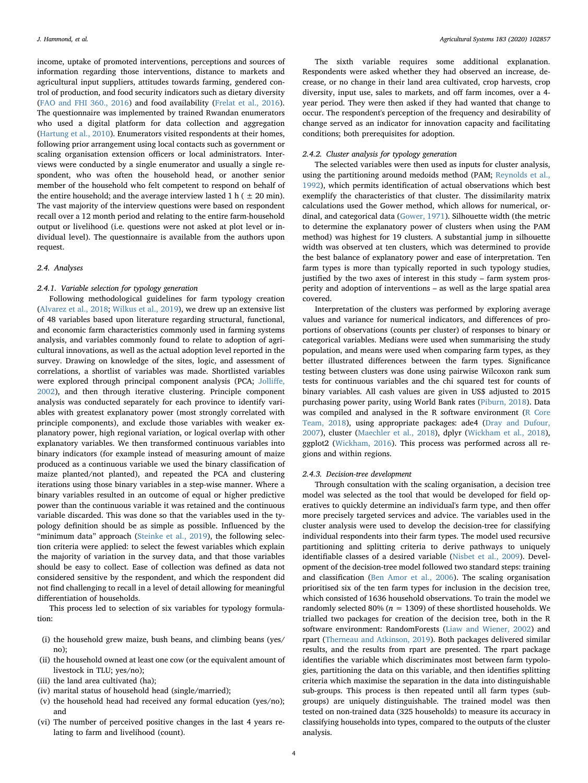income, uptake of promoted interventions, perceptions and sources of information regarding those interventions, distance to markets and agricultural input suppliers, attitudes towards farming, gendered control of production, and food security indicators such as dietary diversity ([FAO and FHI 360., 2016\)](#page-10-16) and food availability ([Frelat et al., 2016](#page-10-7)). The questionnaire was implemented by trained Rwandan enumerators who used a digital platform for data collection and aggregation ([Hartung et al., 2010\)](#page-10-17). Enumerators visited respondents at their homes, following prior arrangement using local contacts such as government or scaling organisation extension officers or local administrators. Interviews were conducted by a single enumerator and usually a single respondent, who was often the household head, or another senior member of the household who felt competent to respond on behalf of the entire household; and the average interview lasted 1 h ( $\pm$  20 min). The vast majority of the interview questions were based on respondent recall over a 12 month period and relating to the entire farm-household output or livelihood (i.e. questions were not asked at plot level or individual level). The questionnaire is available from the authors upon request.

#### 2.4. Analyses

## 2.4.1. Variable selection for typology generation

Following methodological guidelines for farm typology creation ([Alvarez et al., 2018;](#page-10-9) [Wilkus et al., 2019\)](#page-11-14), we drew up an extensive list of 48 variables based upon literature regarding structural, functional, and economic farm characteristics commonly used in farming systems analysis, and variables commonly found to relate to adoption of agricultural innovations, as well as the actual adoption level reported in the survey. Drawing on knowledge of the sites, logic, and assessment of correlations, a shortlist of variables was made. Shortlisted variables were explored through principal component analysis (PCA; [Jolli](#page-11-31)ffe, [2002\)](#page-11-31), and then through iterative clustering. Principle component analysis was conducted separately for each province to identify variables with greatest explanatory power (most strongly correlated with principle components), and exclude those variables with weaker explanatory power, high regional variation, or logical overlap with other explanatory variables. We then transformed continuous variables into binary indicators (for example instead of measuring amount of maize produced as a continuous variable we used the binary classification of maize planted/not planted), and repeated the PCA and clustering iterations using those binary variables in a step-wise manner. Where a binary variables resulted in an outcome of equal or higher predictive power than the continuous variable it was retained and the continuous variable discarded. This was done so that the variables used in the typology definition should be as simple as possible. Influenced by the "minimum data" approach [\(Steinke et al., 2019\)](#page-11-32), the following selection criteria were applied: to select the fewest variables which explain the majority of variation in the survey data, and that those variables should be easy to collect. Ease of collection was defined as data not considered sensitive by the respondent, and which the respondent did not find challenging to recall in a level of detail allowing for meaningful differentiation of households.

This process led to selection of six variables for typology formulation:

- (i) the household grew maize, bush beans, and climbing beans (yes/ no);
- (ii) the household owned at least one cow (or the equivalent amount of livestock in TLU; yes/no);
- (iii) the land area cultivated (ha);
- (iv) marital status of household head (single/married);
- (v) the household head had received any formal education (yes/no); and
- (vi) The number of perceived positive changes in the last 4 years relating to farm and livelihood (count).

The sixth variable requires some additional explanation. Respondents were asked whether they had observed an increase, decrease, or no change in their land area cultivated, crop harvests, crop diversity, input use, sales to markets, and off farm incomes, over a 4 year period. They were then asked if they had wanted that change to occur. The respondent's perception of the frequency and desirability of change served as an indicator for innovation capacity and facilitating conditions; both prerequisites for adoption.

## 2.4.2. Cluster analysis for typology generation

The selected variables were then used as inputs for cluster analysis, using the partitioning around medoids method (PAM; [Reynolds et al.,](#page-11-33) [1992\)](#page-11-33), which permits identification of actual observations which best exemplify the characteristics of that cluster. The dissimilarity matrix calculations used the Gower method, which allows for numerical, ordinal, and categorical data [\(Gower, 1971\)](#page-10-18). Silhouette width (the metric to determine the explanatory power of clusters when using the PAM method) was highest for 19 clusters. A substantial jump in silhouette width was observed at ten clusters, which was determined to provide the best balance of explanatory power and ease of interpretation. Ten farm types is more than typically reported in such typology studies, justified by the two axes of interest in this study – farm system prosperity and adoption of interventions – as well as the large spatial area covered.

Interpretation of the clusters was performed by exploring average values and variance for numerical indicators, and differences of proportions of observations (counts per cluster) of responses to binary or categorical variables. Medians were used when summarising the study population, and means were used when comparing farm types, as they better illustrated differences between the farm types. Significance testing between clusters was done using pairwise Wilcoxon rank sum tests for continuous variables and the chi squared test for counts of binary variables. All cash values are given in US\$ adjusted to 2015 purchasing power parity, using World Bank rates [\(Piburn, 2018](#page-11-34)). Data was compiled and analysed in the R software environment [\(R Core](#page-11-35) [Team, 2018\)](#page-11-35), using appropriate packages: ade4 ([Dray and Dufour,](#page-10-19) [2007\)](#page-10-19), cluster ([Maechler et al., 2018\)](#page-11-36), dplyr ([Wickham et al., 2018](#page-11-37)), ggplot2 ([Wickham, 2016\)](#page-11-38). This process was performed across all regions and within regions.

#### 2.4.3. Decision-tree development

Through consultation with the scaling organisation, a decision tree model was selected as the tool that would be developed for field operatives to quickly determine an individual's farm type, and then offer more precisely targeted services and advice. The variables used in the cluster analysis were used to develop the decision-tree for classifying individual respondents into their farm types. The model used recursive partitioning and splitting criteria to derive pathways to uniquely identifiable classes of a desired variable ([Nisbet et al., 2009\)](#page-11-39). Development of the decision-tree model followed two standard steps: training and classification ([Ben Amor et al., 2006](#page-10-20)). The scaling organisation prioritised six of the ten farm types for inclusion in the decision tree, which consisted of 1636 household observations. To train the model we randomly selected 80% ( $n = 1309$ ) of these shortlisted households. We trialled two packages for creation of the decision tree, both in the R software environment: RandomForests ([Liaw and Wiener, 2002](#page-11-40)) and rpart ([Therneau and Atkinson, 2019](#page-11-41)). Both packages delivered similar results, and the results from rpart are presented. The rpart package identifies the variable which discriminates most between farm typologies, partitioning the data on this variable, and then identifies splitting criteria which maximise the separation in the data into distinguishable sub-groups. This process is then repeated until all farm types (subgroups) are uniquely distinguishable. The trained model was then tested on non-trained data (325 households) to measure its accuracy in classifying households into types, compared to the outputs of the cluster analysis.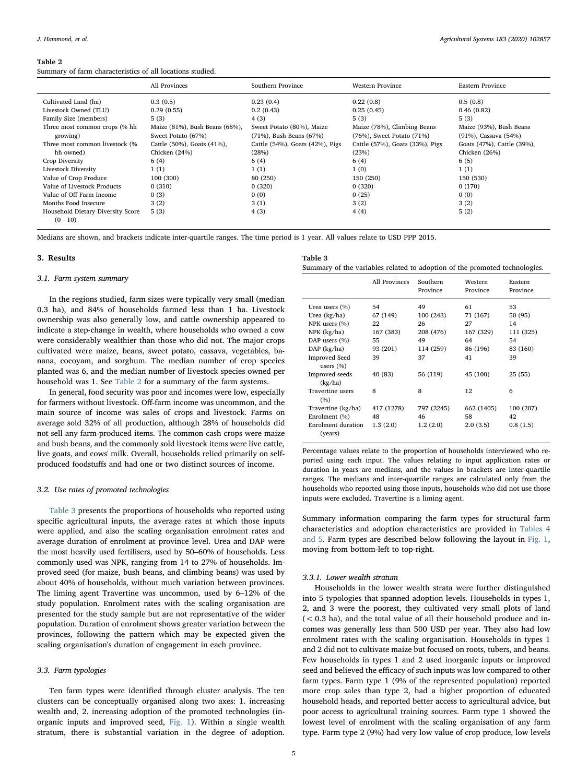#### <span id="page-4-0"></span>Table 2

Summary of farm characteristics of all locations studied.

|                                   | All Provinces                  | Southern Province               | Western Province                | Eastern Province           |
|-----------------------------------|--------------------------------|---------------------------------|---------------------------------|----------------------------|
| Cultivated Land (ha)              | 0.3(0.5)                       | 0.23(0.4)                       | 0.22(0.8)                       | 0.5(0.8)                   |
| Livestock Owned (TLU)             | 0.29(0.55)                     | 0.2(0.43)                       | 0.25(0.45)                      | 0.46(0.82)                 |
| Family Size (members)             | 5(3)                           | 4 (3)                           | 5(3)                            | 5(3)                       |
| Three most common crops (% hh     | Maize (81%), Bush Beans (68%), | Sweet Potato (80%), Maize       | Maize (78%), Climbing Beans     | Maize (93%), Bush Beans    |
| growing)                          | Sweet Potato (67%)             | (71%), Bush Beans (67%)         | (76%), Sweet Potato (71%)       | (91%), Cassava (54%)       |
| Three most common livestock (%    | Cattle (50%), Goats (41%),     | Cattle (54%), Goats (42%), Pigs | Cattle (57%), Goats (33%), Pigs | Goats (47%), Cattle (39%), |
| hh owned)                         | Chicken (24%)                  | (28%)                           | (23%)                           | Chicken (26%)              |
| Crop Diversity                    | 6(4)                           | 6(4)                            | 6(4)                            | 6(5)                       |
| Livestock Diversity               | 1(1)                           | 1(1)                            | 1(0)                            | 1(1)                       |
| Value of Crop Produce             | 100 (300)                      | 80 (250)                        | 150 (250)                       | 150 (530)                  |
| Value of Livestock Products       | 0(310)                         | 0(320)                          | 0(320)                          | 0(170)                     |
| Value of Off Farm Income          | 0(3)                           | 0(0)                            | 0(25)                           | 0(0)                       |
| Months Food Insecure              | 3(2)                           | 3(1)                            | 3(2)                            | 3(2)                       |
| Household Dietary Diversity Score | 5(3)                           | 4(3)                            | 4(4)                            | 5(2)                       |
| $(0-10)$                          |                                |                                 |                                 |                            |

Medians are shown, and brackets indicate inter-quartile ranges. The time period is 1 year. All values relate to USD PPP 2015.

#### 3. Results

#### 3.1. Farm system summary

In the regions studied, farm sizes were typically very small (median 0.3 ha), and 84% of households farmed less than 1 ha. Livestock ownership was also generally low, and cattle ownership appeared to indicate a step-change in wealth, where households who owned a cow were considerably wealthier than those who did not. The major crops cultivated were maize, beans, sweet potato, cassava, vegetables, banana, cocoyam, and sorghum. The median number of crop species planted was 6, and the median number of livestock species owned per household was 1. See [Table 2](#page-4-0) for a summary of the farm systems.

In general, food security was poor and incomes were low, especially for farmers without livestock. Off-farm income was uncommon, and the main source of income was sales of crops and livestock. Farms on average sold 32% of all production, although 28% of households did not sell any farm-produced items. The common cash crops were maize and bush beans, and the commonly sold livestock items were live cattle, live goats, and cows' milk. Overall, households relied primarily on selfproduced foodstuffs and had one or two distinct sources of income.

#### 3.2. Use rates of promoted technologies

[Table 3](#page-4-1) presents the proportions of households who reported using specific agricultural inputs, the average rates at which those inputs were applied, and also the scaling organisation enrolment rates and average duration of enrolment at province level. Urea and DAP were the most heavily used fertilisers, used by 50–60% of households. Less commonly used was NPK, ranging from 14 to 27% of households. Improved seed (for maize, bush beans, and climbing beans) was used by about 40% of households, without much variation between provinces. The liming agent Travertine was uncommon, used by 6–12% of the study population. Enrolment rates with the scaling organisation are presented for the study sample but are not representative of the wider population. Duration of enrolment shows greater variation between the provinces, following the pattern which may be expected given the scaling organisation's duration of engagement in each province.

## 3.3. Farm typologies

Ten farm types were identified through cluster analysis. The ten clusters can be conceptually organised along two axes: 1. increasing wealth and, 2. increasing adoption of the promoted technologies (inorganic inputs and improved seed, [Fig. 1\)](#page-5-0). Within a single wealth stratum, there is substantial variation in the degree of adoption.

<span id="page-4-1"></span>

| Table 3                                                                    |  |  |  |  |
|----------------------------------------------------------------------------|--|--|--|--|
| Summary of the variables related to adoption of the promoted technologies. |  |  |  |  |

|                                       | All Provinces | Southern<br>Province | Western<br>Province | Eastern<br>Province |
|---------------------------------------|---------------|----------------------|---------------------|---------------------|
| Urea users (%)                        | 54            | 49                   | 61                  | 53                  |
| Urea (kg/ha)                          | 67 (149)      | 100 (243)            | 71 (167)            | 50 (95)             |
| NPK users (%)                         | 22            | 26                   | 27                  | 14                  |
| NPK (kg/ha)                           | 167 (383)     | 208 (476)            | 167 (329)           | 111 (325)           |
| DAP users (%)                         | 55            | 49                   | 64                  | 54                  |
| $DAP$ (kg/ha)                         | 93 (201)      | 114 (259)            | 86 (196)            | 83 (160)            |
| <b>Improved Seed</b><br>users $(\% )$ | 39            | 37                   | 41                  | 39                  |
| Improved seeds<br>(kg/ha)             | 40 (83)       | 56 (119)             | 45 (100)            | 25 (55)             |
| Travertine users<br>(%)               | 8             | 8                    | 12                  | 6                   |
| Travertine (kg/ha)                    | 417 (1278)    | 797 (2245)           | 662 (1405)          | 100 (207)           |
| Enrolment (%)                         | 48            | 46                   | 58                  | 42                  |
| Enrolment duration<br>(years)         | 1.3(2.0)      | 1.2(2.0)             | 2.0(3.5)            | 0.8(1.5)            |

Percentage values relate to the proportion of households interviewed who reported using each input. The values relating to input application rates or duration in years are medians, and the values in brackets are inter-quartile ranges. The medians and inter-quartile ranges are calculated only from the households who reported using those inputs, households who did not use those inputs were excluded. Travertine is a liming agent.

Summary information comparing the farm types for structural farm characteristics and adoption characteristics are provided in [Tables 4](#page-5-1) [and 5](#page-5-1). Farm types are described below following the layout in [Fig. 1](#page-5-0), moving from bottom-left to top-right.

## 3.3.1. Lower wealth stratum

Households in the lower wealth strata were further distinguished into 5 typologies that spanned adoption levels. Households in types 1, 2, and 3 were the poorest, they cultivated very small plots of land (< 0.3 ha), and the total value of all their household produce and incomes was generally less than 500 USD per year. They also had low enrolment rates with the scaling organisation. Households in types 1 and 2 did not to cultivate maize but focused on roots, tubers, and beans. Few households in types 1 and 2 used inorganic inputs or improved seed and believed the efficacy of such inputs was low compared to other farm types. Farm type 1 (9% of the represented population) reported more crop sales than type 2, had a higher proportion of educated household heads, and reported better access to agricultural advice, but poor access to agricultural training sources. Farm type 1 showed the lowest level of enrolment with the scaling organisation of any farm type. Farm type 2 (9%) had very low value of crop produce, low levels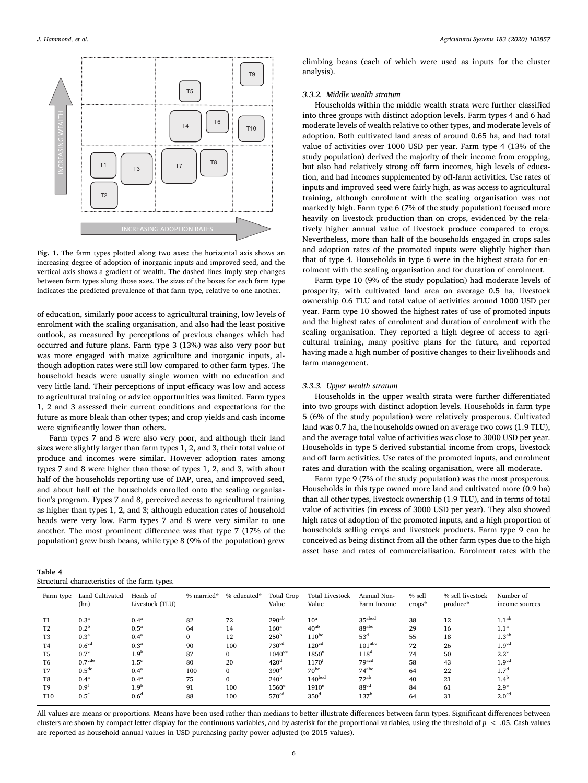<span id="page-5-0"></span>

Fig. 1. The farm types plotted along two axes: the horizontal axis shows an increasing degree of adoption of inorganic inputs and improved seed, and the vertical axis shows a gradient of wealth. The dashed lines imply step changes between farm types along those axes. The sizes of the boxes for each farm type indicates the predicted prevalence of that farm type, relative to one another.

of education, similarly poor access to agricultural training, low levels of enrolment with the scaling organisation, and also had the least positive outlook, as measured by perceptions of previous changes which had occurred and future plans. Farm type 3 (13%) was also very poor but was more engaged with maize agriculture and inorganic inputs, although adoption rates were still low compared to other farm types. The household heads were usually single women with no education and very little land. Their perceptions of input efficacy was low and access to agricultural training or advice opportunities was limited. Farm types 1, 2 and 3 assessed their current conditions and expectations for the future as more bleak than other types; and crop yields and cash income were significantly lower than others.

Farm types 7 and 8 were also very poor, and although their land sizes were slightly larger than farm types 1, 2, and 3, their total value of produce and incomes were similar. However adoption rates among types 7 and 8 were higher than those of types 1, 2, and 3, with about half of the households reporting use of DAP, urea, and improved seed, and about half of the households enrolled onto the scaling organisation's program. Types 7 and 8, perceived access to agricultural training as higher than types 1, 2, and 3; although education rates of household heads were very low. Farm types 7 and 8 were very similar to one another. The most prominent difference was that type 7 (17% of the population) grew bush beans, while type 8 (9% of the population) grew

| I. Hammond, et al. |  | Agricultural Systems 183 (2020) 102857 |  |  | . |
|--------------------|--|----------------------------------------|--|--|---|
|--------------------|--|----------------------------------------|--|--|---|

climbing beans (each of which were used as inputs for the cluster analysis).

# 3.3.2. Middle wealth stratum

Households within the middle wealth strata were further classified into three groups with distinct adoption levels. Farm types 4 and 6 had moderate levels of wealth relative to other types, and moderate levels of adoption. Both cultivated land areas of around 0.65 ha, and had total value of activities over 1000 USD per year. Farm type 4 (13% of the study population) derived the majority of their income from cropping, but also had relatively strong off farm incomes, high levels of education, and had incomes supplemented by off-farm activities. Use rates of inputs and improved seed were fairly high, as was access to agricultural training, although enrolment with the scaling organisation was not markedly high. Farm type 6 (7% of the study population) focused more heavily on livestock production than on crops, evidenced by the relatively higher annual value of livestock produce compared to crops. Nevertheless, more than half of the households engaged in crops sales and adoption rates of the promoted inputs were slightly higher than that of type 4. Households in type 6 were in the highest strata for enrolment with the scaling organisation and for duration of enrolment.

Farm type 10 (9% of the study population) had moderate levels of prosperity, with cultivated land area on average 0.5 ha, livestock ownership 0.6 TLU and total value of activities around 1000 USD per year. Farm type 10 showed the highest rates of use of promoted inputs and the highest rates of enrolment and duration of enrolment with the scaling organisation. They reported a high degree of access to agricultural training, many positive plans for the future, and reported having made a high number of positive changes to their livelihoods and farm management.

#### 3.3.3. Upper wealth stratum

Households in the upper wealth strata were further differentiated into two groups with distinct adoption levels. Households in farm type 5 (6% of the study population) were relatively prosperous. Cultivated land was 0.7 ha, the households owned on average two cows (1.9 TLU), and the average total value of activities was close to 3000 USD per year. Households in type 5 derived substantial income from crops, livestock and off farm activities. Use rates of the promoted inputs, and enrolment rates and duration with the scaling organisation, were all moderate.

Farm type 9 (7% of the study population) was the most prosperous. Households in this type owned more land and cultivated more (0.9 ha) than all other types, livestock ownership (1.9 TLU), and in terms of total value of activities (in excess of 3000 USD per year). They also showed high rates of adoption of the promoted inputs, and a high proportion of households selling crops and livestock products. Farm type 9 can be conceived as being distinct from all the other farm types due to the high asset base and rates of commercialisation. Enrolment rates with the

<span id="page-5-1"></span>

| Table 4 |                                               |  |  |
|---------|-----------------------------------------------|--|--|
|         | Structural characteristics of the farm types. |  |  |

| Farm type      | Land Cultivated<br>(ha) | Heads of<br>Livestock (TLU) | % married*   | % educated* | Total Crop<br>Value  | Total Livestock<br>Value | Annual Non-<br>Farm Income | % sell<br>$crops*$ | % sell livestock<br>produce* | Number of<br>income sources |
|----------------|-------------------------|-----------------------------|--------------|-------------|----------------------|--------------------------|----------------------------|--------------------|------------------------------|-----------------------------|
| T1             | 0.3 <sup>a</sup>        | 0.4 <sup>a</sup>            | 82           | 72          | $290^{ab}$           | 10 <sup>a</sup>          | 35 <sup>abcd</sup>         | 38                 | 12                           | 1.1 <sup>ab</sup>           |
| T <sub>2</sub> | 0.2 <sup>b</sup>        | $0.5^{\mathrm{a}}$          | 64           | 14          | 160 <sup>a</sup>     | $40^{ab}$                | 88 <sup>abc</sup>          | 29                 | 16                           | 1.1 <sup>a</sup>            |
| T <sub>3</sub> | 0.3 <sup>a</sup>        | 0.4 <sup>a</sup>            | $\mathbf{0}$ | 12          | 250 <sup>b</sup>     | $110^{bc}$               | $53^d$                     | 55                 | 18                           | 1.3 <sup>ab</sup>           |
| T <sub>4</sub> | 0.6 <sup>cd</sup>       | 0.3 <sup>a</sup>            | 90           | 100         | 730 <sup>cd</sup>    | 120 <sup>cd</sup>        | 101 <sup>abc</sup>         | 72                 | 26                           | 1.9 <sup>cd</sup>           |
| T <sub>5</sub> | 0.7 <sup>c</sup>        | 1.9 <sup>b</sup>            | 87           | $\Omega$    | $1040$ <sup>ce</sup> | 1850 <sup>e</sup>        | 118 <sup>d</sup>           | 74                 | 50                           | $2.2^{\circ}$               |
| T <sub>6</sub> | 0.7 <sup>cde</sup>      | 1.5 <sup>c</sup>            | 80           | 20          | 420 <sup>d</sup>     | 1170 <sup>f</sup>        | $79$ <sup>acd</sup>        | 58                 | 43                           | 1.9 <sup>cd</sup>           |
| T7             | 0.5 <sup>de</sup>       | 0.4 <sup>a</sup>            | 100          | $\Omega$    | 390 <sup>d</sup>     | $70^{bc}$                | $74^{abc}$                 | 64                 | 22                           | 1.7 <sup>d</sup>            |
| T8             | 0.4 <sup>a</sup>        | 0.4 <sup>a</sup>            | 75           | $\Omega$    | 240 <sup>b</sup>     | 140 <sup>bcd</sup>       | $72^{ab}$                  | 40                 | 21                           | 1.4 <sup>b</sup>            |
| T <sub>9</sub> | $0.9^t$                 | 1.9 <sup>b</sup>            | 91           | 100         | $1560^\mathrm{e}$    | $1910^e$                 | 88 <sup>cd</sup>           | 84                 | 61                           | 2.9 <sup>e</sup>            |
| T10            | $0.5^{\circ}$           | 0.6 <sup>d</sup>            | 88           | 100         | 570 <sup>cd</sup>    | 350 <sup>d</sup>         | 137 <sup>b</sup>           | 64                 | 31                           | 2.0 <sup>cd</sup>           |

All values are means or proportions. Means have been used rather than medians to better illustrate differences between farm types. Significant differences between clusters are shown by compact letter display for the continuous variables, and by asterisk for the proportional variables, using the threshold of  $p < .05$ . Cash values are reported as household annual values in USD purchasing parity power adjusted (to 2015 values).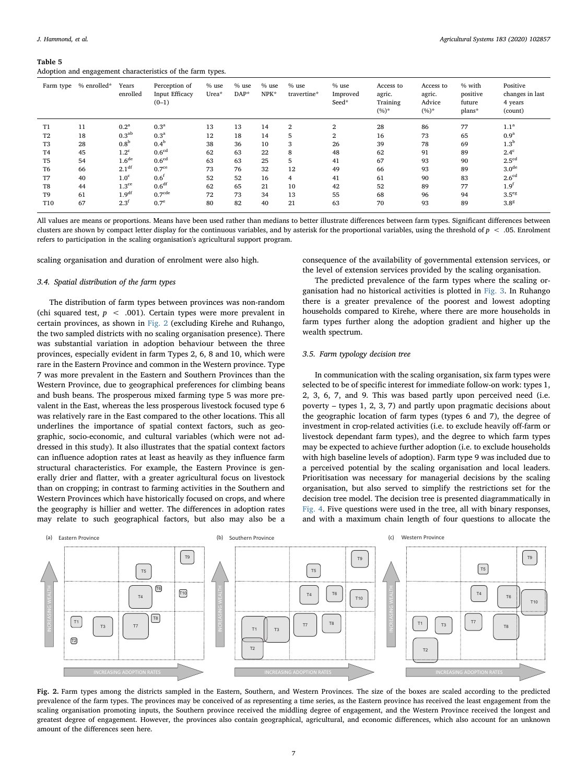#### Table 5

Adoption and engagement characteristics of the farm types.

| Farm type       | % enrolled* | Years<br>enrolled | Perception of<br><b>Input Efficacy</b><br>$(0-1)$ | % use<br>$Urea*$ | $%$ use<br>$DAP^*$ | % use<br>NPK* | $%$ use<br>travertine* | $%$ use<br>Improved<br>Seed* | Access to<br>agric.<br>Training<br>$(%)^*$ | Access to<br>agric.<br>Advice<br>$(%)^*$ | % with<br>positive<br>future<br>plans* | Positive<br>changes in last<br>4 years<br>(count) |
|-----------------|-------------|-------------------|---------------------------------------------------|------------------|--------------------|---------------|------------------------|------------------------------|--------------------------------------------|------------------------------------------|----------------------------------------|---------------------------------------------------|
| T <sub>1</sub>  | 11          | 0.2 <sup>a</sup>  | 0.3 <sup>a</sup>                                  | 13               | 13                 | 14            | 2                      | $\overline{2}$               | 28                                         | 86                                       | 77                                     | 1.1 <sup>a</sup>                                  |
| T <sub>2</sub>  | 18          | 0.3 <sup>ab</sup> | 0.3 <sup>a</sup>                                  | 12               | 18                 | 14            | 5                      | 2                            | 16                                         | 73                                       | 65                                     | 0.9 <sup>a</sup>                                  |
| T <sub>3</sub>  | 28          | 0.8 <sup>b</sup>  | 0.4 <sup>b</sup>                                  | 38               | 36                 | 10            | 3                      | 26                           | 39                                         | 78                                       | 69                                     | 1.3 <sup>b</sup>                                  |
| T <sub>4</sub>  | 45          | 1.2 <sup>c</sup>  | 0.6 <sup>cd</sup>                                 | 62               | 63                 | 22            | 8                      | 48                           | 62                                         | 91                                       | 89                                     | $2.4^{\circ}$                                     |
| T <sub>5</sub>  | 54          | 1.6 <sup>de</sup> | 0.6 <sup>cd</sup>                                 | 63               | 63                 | 25            | 5                      | 41                           | 67                                         | 93                                       | 90                                     | 2.5 <sup>cd</sup>                                 |
| T <sub>6</sub>  | 66          | 2.1 <sup>df</sup> | 0.7 <sup>ce</sup>                                 | 73               | 76                 | 32            | 12                     | 49                           | 66                                         | 93                                       | 89                                     | 3.0 <sup>de</sup>                                 |
| T7              | 40          | 1.0 <sup>c</sup>  | 0.6 <sup>f</sup>                                  | 52               | 52                 | 16            | $\overline{4}$         | 41                           | 61                                         | 90                                       | 83                                     | 2.6 <sup>cd</sup>                                 |
| T8              | 44          | 1.3 <sup>ce</sup> | 0.6 <sup>df</sup>                                 | 62               | 65                 | 21            | 10                     | 42                           | 52                                         | 89                                       | 77                                     | 1.9 <sup>f</sup>                                  |
| T <sub>9</sub>  | 61          | 1.9 <sup>df</sup> | 0.7 <sup>cde</sup>                                | 72               | 73                 | 34            | 13                     | 55                           | 68                                         | 96                                       | 94                                     | $3.5^\text{eg}$                                   |
| T <sub>10</sub> | 67          | 2.3 <sup>f</sup>  | 0.7 <sup>e</sup>                                  | 80               | 82                 | 40            | 21                     | 63                           | 70                                         | 93                                       | 89                                     | $3.8^{8}$                                         |

All values are means or proportions. Means have been used rather than medians to better illustrate differences between farm types. Significant differences between clusters are shown by compact letter display for the continuous variables, and by asterisk for the proportional variables, using the threshold of  $p < 0.05$ . Enrolment refers to participation in the scaling organisation's agricultural support program.

scaling organisation and duration of enrolment were also high.

# 3.4. Spatial distribution of the farm types

The distribution of farm types between provinces was non-random (chi squared test,  $p < .001$ ). Certain types were more prevalent in certain provinces, as shown in [Fig. 2](#page-6-0) (excluding Kirehe and Ruhango, the two sampled districts with no scaling organisation presence). There was substantial variation in adoption behaviour between the three provinces, especially evident in farm Types 2, 6, 8 and 10, which were rare in the Eastern Province and common in the Western province. Type 7 was more prevalent in the Eastern and Southern Provinces than the Western Province, due to geographical preferences for climbing beans and bush beans. The prosperous mixed farming type 5 was more prevalent in the East, whereas the less prosperous livestock focused type 6 was relatively rare in the East compared to the other locations. This all underlines the importance of spatial context factors, such as geographic, socio-economic, and cultural variables (which were not addressed in this study). It also illustrates that the spatial context factors can influence adoption rates at least as heavily as they influence farm structural characteristics. For example, the Eastern Province is generally drier and flatter, with a greater agricultural focus on livestock than on cropping; in contrast to farming activities in the Southern and Western Provinces which have historically focused on crops, and where the geography is hillier and wetter. The differences in adoption rates may relate to such geographical factors, but also may also be a

consequence of the availability of governmental extension services, or the level of extension services provided by the scaling organisation.

The predicted prevalence of the farm types where the scaling organisation had no historical activities is plotted in [Fig. 3](#page-7-0). In Ruhango there is a greater prevalence of the poorest and lowest adopting households compared to Kirehe, where there are more households in farm types further along the adoption gradient and higher up the wealth spectrum.

## 3.5. Farm typology decision tree

In communication with the scaling organisation, six farm types were selected to be of specific interest for immediate follow-on work: types 1, 2, 3, 6, 7, and 9. This was based partly upon perceived need (i.e. poverty – types 1, 2, 3, 7) and partly upon pragmatic decisions about the geographic location of farm types (types 6 and 7), the degree of investment in crop-related activities (i.e. to exclude heavily off-farm or livestock dependant farm types), and the degree to which farm types may be expected to achieve further adoption (i.e. to exclude households with high baseline levels of adoption). Farm type 9 was included due to a perceived potential by the scaling organisation and local leaders. Prioritisation was necessary for managerial decisions by the scaling organisation, but also served to simplify the restrictions set for the decision tree model. The decision tree is presented diagrammatically in [Fig. 4.](#page-7-1) Five questions were used in the tree, all with binary responses, and with a maximum chain length of four questions to allocate the

<span id="page-6-0"></span>

Fig. 2. Farm types among the districts sampled in the Eastern, Southern, and Western Provinces. The size of the boxes are scaled according to the predicted prevalence of the farm types. The provinces may be conceived of as representing a time series, as the Eastern province has received the least engagement from the scaling organisation promoting inputs, the Southern province received the middling degree of engagement, and the Western Province received the longest and greatest degree of engagement. However, the provinces also contain geographical, agricultural, and economic differences, which also account for an unknown amount of the differences seen here.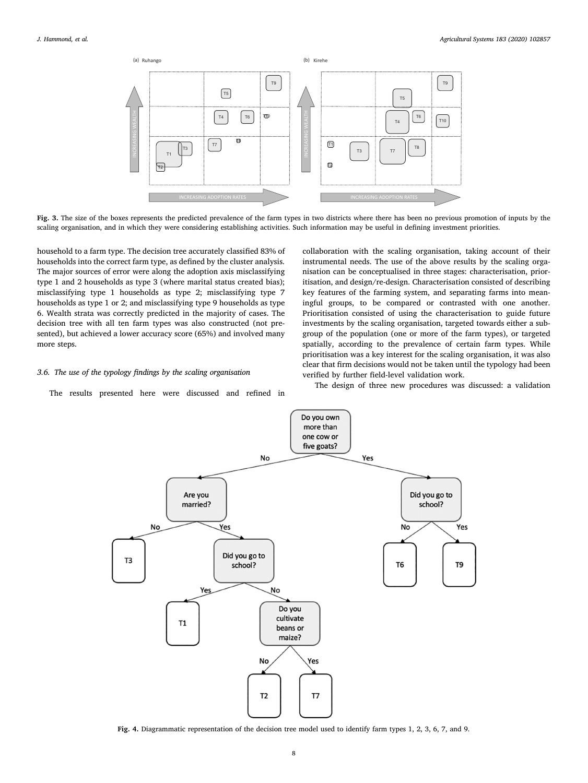<span id="page-7-0"></span>

Fig. 3. The size of the boxes represents the predicted prevalence of the farm types in two districts where there has been no previous promotion of inputs by the scaling organisation, and in which they were considering establishing activities. Such information may be useful in defining investment priorities.

household to a farm type. The decision tree accurately classified 83% of households into the correct farm type, as defined by the cluster analysis. The major sources of error were along the adoption axis misclassifying type 1 and 2 households as type 3 (where marital status created bias); misclassifying type 1 households as type 2; misclassifying type 7 households as type 1 or 2; and misclassifying type 9 households as type 6. Wealth strata was correctly predicted in the majority of cases. The decision tree with all ten farm types was also constructed (not presented), but achieved a lower accuracy score (65%) and involved many more steps.

## 3.6. The use of the typology findings by the scaling organisation

<span id="page-7-1"></span>The results presented here were discussed and refined in

collaboration with the scaling organisation, taking account of their instrumental needs. The use of the above results by the scaling organisation can be conceptualised in three stages: characterisation, prioritisation, and design/re-design. Characterisation consisted of describing key features of the farming system, and separating farms into meaningful groups, to be compared or contrasted with one another. Prioritisation consisted of using the characterisation to guide future investments by the scaling organisation, targeted towards either a subgroup of the population (one or more of the farm types), or targeted spatially, according to the prevalence of certain farm types. While prioritisation was a key interest for the scaling organisation, it was also clear that firm decisions would not be taken until the typology had been verified by further field-level validation work.

The design of three new procedures was discussed: a validation



Fig. 4. Diagrammatic representation of the decision tree model used to identify farm types 1, 2, 3, 6, 7, and 9.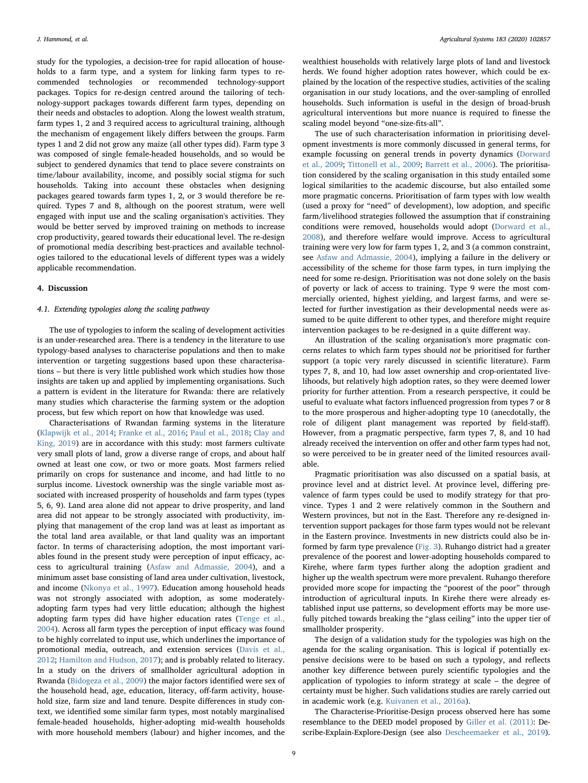study for the typologies, a decision-tree for rapid allocation of households to a farm type, and a system for linking farm types to recommended technologies or recommended technology-support packages. Topics for re-design centred around the tailoring of technology-support packages towards different farm types, depending on their needs and obstacles to adoption. Along the lowest wealth stratum, farm types 1, 2 and 3 required access to agricultural training, although the mechanism of engagement likely differs between the groups. Farm types 1 and 2 did not grow any maize (all other types did). Farm type 3 was composed of single female-headed households, and so would be subject to gendered dynamics that tend to place severe constraints on time/labour availability, income, and possibly social stigma for such households. Taking into account these obstacles when designing packages geared towards farm types 1, 2, or 3 would therefore be required. Types 7 and 8, although on the poorest stratum, were well engaged with input use and the scaling organisation's activities. They would be better served by improved training on methods to increase crop productivity, geared towards their educational level. The re-design of promotional media describing best-practices and available technologies tailored to the educational levels of different types was a widely applicable recommendation.

#### 4. Discussion

## 4.1. Extending typologies along the scaling pathway

The use of typologies to inform the scaling of development activities is an under-researched area. There is a tendency in the literature to use typology-based analyses to characterise populations and then to make intervention or targeting suggestions based upon these characterisations – but there is very little published work which studies how those insights are taken up and applied by implementing organisations. Such a pattern is evident in the literature for Rwanda: there are relatively many studies which characterise the farming system or the adoption process, but few which report on how that knowledge was used.

Characterisations of Rwandan farming systems in the literature ([Klapwijk et al., 2014](#page-11-42); [Franke et al., 2016](#page-10-21); [Paul et al., 2018](#page-11-43); [Clay and](#page-10-12) [King, 2019\)](#page-10-12) are in accordance with this study: most farmers cultivate very small plots of land, grow a diverse range of crops, and about half owned at least one cow, or two or more goats. Most farmers relied primarily on crops for sustenance and income, and had little to no surplus income. Livestock ownership was the single variable most associated with increased prosperity of households and farm types (types 5, 6, 9). Land area alone did not appear to drive prosperity, and land area did not appear to be strongly associated with productivity, implying that management of the crop land was at least as important as the total land area available, or that land quality was an important factor. In terms of characterising adoption, the most important variables found in the present study were perception of input efficacy, access to agricultural training ([Asfaw and Admassie, 2004\)](#page-10-22), and a minimum asset base consisting of land area under cultivation, livestock, and income [\(Nkonya et al., 1997](#page-11-44)). Education among household heads was not strongly associated with adoption, as some moderatelyadopting farm types had very little education; although the highest adopting farm types did have higher education rates ([Tenge et al.,](#page-11-45) [2004\)](#page-11-45). Across all farm types the perception of input efficacy was found to be highly correlated to input use, which underlines the importance of promotional media, outreach, and extension services ([Davis et al.,](#page-10-23) [2012;](#page-10-23) [Hamilton and Hudson, 2017\)](#page-10-24); and is probably related to literacy. In a study on the drivers of smallholder agricultural adoption in Rwanda [\(Bidogeza et al., 2009](#page-10-4)) the major factors identified were sex of the household head, age, education, literacy, off-farm activity, household size, farm size and land tenure. Despite differences in study context, we identified some similar farm types, most notably marginalised female-headed households, higher-adopting mid-wealth households with more household members (labour) and higher incomes, and the

wealthiest households with relatively large plots of land and livestock herds. We found higher adoption rates however, which could be explained by the location of the respective studies, activities of the scaling organisation in our study locations, and the over-sampling of enrolled households. Such information is useful in the design of broad-brush agricultural interventions but more nuance is required to finesse the scaling model beyond "one-size-fits-all".

The use of such characterisation information in prioritising development investments is more commonly discussed in general terms, for example focussing on general trends in poverty dynamics ([Dorward](#page-10-25) [et al., 2009](#page-10-25); [Tittonell et al., 2009](#page-11-15); [Barrett et al., 2006](#page-10-26)). The prioritisation considered by the scaling organisation in this study entailed some logical similarities to the academic discourse, but also entailed some more pragmatic concerns. Prioritisation of farm types with low wealth (used a proxy for "need" of development), low adoption, and specific farm/livelihood strategies followed the assumption that if constraining conditions were removed, households would adopt [\(Dorward et al.,](#page-10-27) [2008\)](#page-10-27), and therefore welfare would improve. Access to agricultural training were very low for farm types 1, 2, and 3 (a common constraint, see [Asfaw and Admassie, 2004](#page-10-22)), implying a failure in the delivery or accessibility of the scheme for those farm types, in turn implying the need for some re-design. Prioritisation was not done solely on the basis of poverty or lack of access to training. Type 9 were the most commercially oriented, highest yielding, and largest farms, and were selected for further investigation as their developmental needs were assumed to be quite different to other types, and therefore might require intervention packages to be re-designed in a quite different way.

An illustration of the scaling organisation's more pragmatic concerns relates to which farm types should not be prioritised for further support (a topic very rarely discussed in scientific literature). Farm types 7, 8, and 10, had low asset ownership and crop-orientated livelihoods, but relatively high adoption rates, so they were deemed lower priority for further attention. From a research perspective, it could be useful to evaluate what factors influenced progression from types 7 or 8 to the more prosperous and higher-adopting type 10 (anecdotally, the role of diligent plant management was reported by field-staff). However, from a pragmatic perspective, farm types 7, 8, and 10 had already received the intervention on offer and other farm types had not, so were perceived to be in greater need of the limited resources available.

Pragmatic prioritisation was also discussed on a spatial basis, at province level and at district level. At province level, differing prevalence of farm types could be used to modify strategy for that province. Types 1 and 2 were relatively common in the Southern and Western provinces, but not in the East. Therefore any re-designed intervention support packages for those farm types would not be relevant in the Eastern province. Investments in new districts could also be informed by farm type prevalence ([Fig. 3\)](#page-7-0). Ruhango district had a greater prevalence of the poorest and lower-adopting households compared to Kirehe, where farm types further along the adoption gradient and higher up the wealth spectrum were more prevalent. Ruhango therefore provided more scope for impacting the "poorest of the poor" through introduction of agricultural inputs. In Kirehe there were already established input use patterns, so development efforts may be more usefully pitched towards breaking the "glass ceiling" into the upper tier of smallholder prosperity.

The design of a validation study for the typologies was high on the agenda for the scaling organisation. This is logical if potentially expensive decisions were to be based on such a typology, and reflects another key difference between purely scientific typologies and the application of typologies to inform strategy at scale – the degree of certainty must be higher. Such validations studies are rarely carried out in academic work (e.g. [Kuivanen et al., 2016a\)](#page-11-21).

The Characterise-Prioritise-Design process observed here has some resemblance to the DEED model proposed by [Giller et al. \(2011\)](#page-10-6): Describe-Explain-Explore-Design (see also [Descheemaeker et al., 2019](#page-10-28)).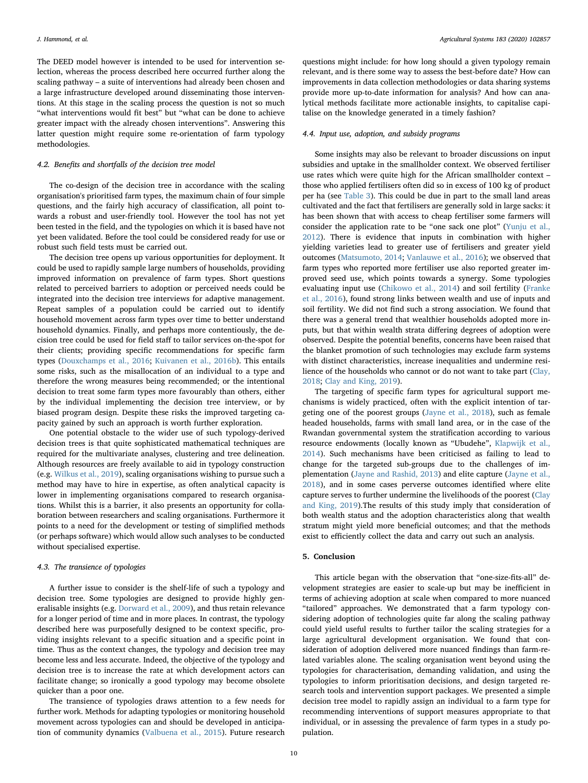The DEED model however is intended to be used for intervention selection, whereas the process described here occurred further along the scaling pathway – a suite of interventions had already been chosen and a large infrastructure developed around disseminating those interventions. At this stage in the scaling process the question is not so much "what interventions would fit best" but "what can be done to achieve greater impact with the already chosen interventions". Answering this latter question might require some re-orientation of farm typology methodologies.

## 4.2. Benefits and shortfalls of the decision tree model

The co-design of the decision tree in accordance with the scaling organisation's prioritised farm types, the maximum chain of four simple questions, and the fairly high accuracy of classification, all point towards a robust and user-friendly tool. However the tool has not yet been tested in the field, and the typologies on which it is based have not yet been validated. Before the tool could be considered ready for use or robust such field tests must be carried out.

The decision tree opens up various opportunities for deployment. It could be used to rapidly sample large numbers of households, providing improved information on prevalence of farm types. Short questions related to perceived barriers to adoption or perceived needs could be integrated into the decision tree interviews for adaptive management. Repeat samples of a population could be carried out to identify household movement across farm types over time to better understand household dynamics. Finally, and perhaps more contentiously, the decision tree could be used for field staff to tailor services on-the-spot for their clients; providing specific recommendations for specific farm types [\(Douxchamps et al., 2016;](#page-10-29) [Kuivanen et al., 2016b](#page-11-46)). This entails some risks, such as the misallocation of an individual to a type and therefore the wrong measures being recommended; or the intentional decision to treat some farm types more favourably than others, either by the individual implementing the decision tree interview, or by biased program design. Despite these risks the improved targeting capacity gained by such an approach is worth further exploration.

One potential obstacle to the wider use of such typology-derived decision trees is that quite sophisticated mathematical techniques are required for the multivariate analyses, clustering and tree delineation. Although resources are freely available to aid in typology construction (e.g. [Wilkus et al., 2019](#page-11-14)), scaling organisations wishing to pursue such a method may have to hire in expertise, as often analytical capacity is lower in implementing organisations compared to research organisations. Whilst this is a barrier, it also presents an opportunity for collaboration between researchers and scaling organisations. Furthermore it points to a need for the development or testing of simplified methods (or perhaps software) which would allow such analyses to be conducted without specialised expertise.

## 4.3. The transience of typologies

A further issue to consider is the shelf-life of such a typology and decision tree. Some typologies are designed to provide highly generalisable insights (e.g. [Dorward et al., 2009\)](#page-10-25), and thus retain relevance for a longer period of time and in more places. In contrast, the typology described here was purposefully designed to be context specific, providing insights relevant to a specific situation and a specific point in time. Thus as the context changes, the typology and decision tree may become less and less accurate. Indeed, the objective of the typology and decision tree is to increase the rate at which development actors can facilitate change; so ironically a good typology may become obsolete quicker than a poor one.

The transience of typologies draws attention to a few needs for further work. Methods for adapting typologies or monitoring household movement across typologies can and should be developed in anticipation of community dynamics ([Valbuena et al., 2015\)](#page-11-47). Future research

questions might include: for how long should a given typology remain relevant, and is there some way to assess the best-before date? How can improvements in data collection methodologies or data sharing systems provide more up-to-date information for analysis? And how can analytical methods facilitate more actionable insights, to capitalise capitalise on the knowledge generated in a timely fashion?

# 4.4. Input use, adoption, and subsidy programs

Some insights may also be relevant to broader discussions on input subsidies and uptake in the smallholder context. We observed fertiliser use rates which were quite high for the African smallholder context – those who applied fertilisers often did so in excess of 100 kg of product per ha (see [Table 3](#page-4-1)). This could be due in part to the small land areas cultivated and the fact that fertilisers are generally sold in large sacks: it has been shown that with access to cheap fertiliser some farmers will consider the application rate to be "one sack one plot" ([Yunju et al.,](#page-11-48) [2012\)](#page-11-48). There is evidence that inputs in combination with higher yielding varieties lead to greater use of fertilisers and greater yield outcomes [\(Matsumoto, 2014;](#page-11-49) [Vanlauwe et al., 2016\)](#page-11-4); we observed that farm types who reported more fertiliser use also reported greater improved seed use, which points towards a synergy. Some typologies evaluating input use [\(Chikowo et al., 2014\)](#page-10-30) and soil fertility [\(Franke](#page-10-21) [et al., 2016](#page-10-21)), found strong links between wealth and use of inputs and soil fertility. We did not find such a strong association. We found that there was a general trend that wealthier households adopted more inputs, but that within wealth strata differing degrees of adoption were observed. Despite the potential benefits, concerns have been raised that the blanket promotion of such technologies may exclude farm systems with distinct characteristics, increase inequalities and undermine resilience of the households who cannot or do not want to take part ([Clay,](#page-10-31) [2018;](#page-10-31) [Clay and King, 2019\)](#page-10-12).

The targeting of specific farm types for agricultural support mechanisms is widely practiced, often with the explicit intention of targeting one of the poorest groups ([Jayne et al., 2018](#page-11-50)), such as female headed households, farms with small land area, or in the case of the Rwandan governmental system the stratification according to various resource endowments (locally known as "Ubudehe", [Klapwijk et al.,](#page-11-42) [2014\)](#page-11-42). Such mechanisms have been criticised as failing to lead to change for the targeted sub-groups due to the challenges of implementation ([Jayne and Rashid, 2013\)](#page-11-51) and elite capture ([Jayne et al.,](#page-11-50) [2018\)](#page-11-50), and in some cases perverse outcomes identified where elite capture serves to further undermine the livelihoods of the poorest [\(Clay](#page-10-12) [and King, 2019](#page-10-12)).The results of this study imply that consideration of both wealth status and the adoption characteristics along that wealth stratum might yield more beneficial outcomes; and that the methods exist to efficiently collect the data and carry out such an analysis.

## 5. Conclusion

This article began with the observation that "one-size-fits-all" development strategies are easier to scale-up but may be inefficient in terms of achieving adoption at scale when compared to more nuanced "tailored" approaches. We demonstrated that a farm typology considering adoption of technologies quite far along the scaling pathway could yield useful results to further tailor the scaling strategies for a large agricultural development organisation. We found that consideration of adoption delivered more nuanced findings than farm-related variables alone. The scaling organisation went beyond using the typologies for characterisation, demanding validation, and using the typologies to inform prioritisation decisions, and design targeted research tools and intervention support packages. We presented a simple decision tree model to rapidly assign an individual to a farm type for recommending interventions of support measures appropriate to that individual, or in assessing the prevalence of farm types in a study population.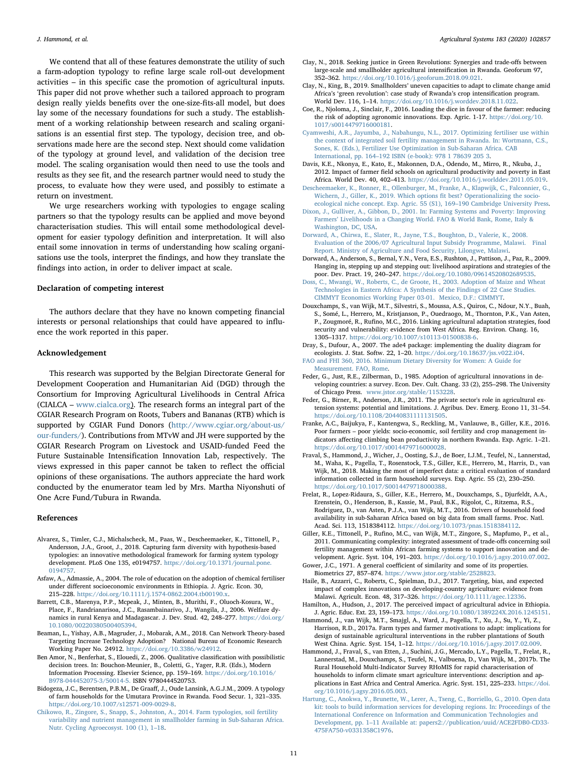We contend that all of these features demonstrate the utility of such a farm-adoption typology to refine large scale roll-out development activities – in this specific case the promotion of agricultural inputs. This paper did not prove whether such a tailored approach to program design really yields benefits over the one-size-fits-all model, but does lay some of the necessary foundations for such a study. The establishment of a working relationship between research and scaling organisations is an essential first step. The typology, decision tree, and observations made here are the second step. Next should come validation of the typology at ground level, and validation of the decision tree model. The scaling organisation would then need to use the tools and results as they see fit, and the research partner would need to study the process, to evaluate how they were used, and possibly to estimate a return on investment.

We urge researchers working with typologies to engage scaling partners so that the typology results can be applied and move beyond characterisation studies. This will entail some methodological development for easier typology definition and interpretation. It will also entail some innovation in terms of understanding how scaling organisations use the tools, interpret the findings, and how they translate the findings into action, in order to deliver impact at scale.

## Declaration of competing interest

The authors declare that they have no known competing financial interests or personal relationships that could have appeared to influence the work reported in this paper.

#### Acknowledgement

This research was supported by the Belgian Directorate General for Development Cooperation and Humanitarian Aid (DGD) through the Consortium for Improving Agricultural Livelihoods in Central Africa (CIALCA – [www.cialca.org](http://www.cialca.org)). The research forms an integral part of the CGIAR Research Program on Roots, Tubers and Bananas (RTB) which is supported by CGIAR Fund Donors ([http://www.cgiar.org/about-us/](http://www.cgiar.org/about-us/our-funders/) [our-funders/](http://www.cgiar.org/about-us/our-funders/)). Contributions from MTvW and JH were supported by the CGIAR Research Program on Livestock and USAID-funded Feed the Future Sustainable Intensification Innovation Lab, respectively. The views expressed in this paper cannot be taken to reflect the official opinions of these organisations. The authors appreciate the hard work conducted by the enumerator team led by Mrs. Martha Niyonshuti of One Acre Fund/Tubura in Rwanda.

#### References

- <span id="page-10-9"></span>Alvarez, S., Timler, C.J., Michalscheck, M., Paas, W., Descheemaeker, K., Tittonell, P., Andersson, J.A., Groot, J., 2018. Capturing farm diversity with hypothesis-based typologies: an innovative methodological framework for farming system typology development. PLoS One 135, e0194757. https://doi.org/10.1371/journal.p [0194757.](https://doi.org/10.1371/journal.pone.0194757)
- <span id="page-10-22"></span>Asfaw, A., Admassie, A., 2004. The role of education on the adoption of chemical fertiliser under different socioeconomic environments in Ethiopia. J. Agric. Econ. 30, 215–228. <https://doi.org/10.1111/j.1574-0862.2004.tb00190.x>.
- <span id="page-10-26"></span>Barrett, C.B., Marenya, P.P., Mcpeak, J., Minten, B., Murithi, F., Oluoch-Kosura, W., Place, F., Randrianarisoa, J.C., Rasambainarivo, J., Wangila, J., 2006. Welfare dynamics in rural Kenya and Madagascar. J. Dev. Stud. 42, 248–277. [https://doi.org/](https://doi.org/10.1080/00220380500405394) [10.1080/00220380500405394](https://doi.org/10.1080/00220380500405394).
- <span id="page-10-1"></span>Beaman, L., Yishay, A.B., Magruder, J., Mobarak, A.M., 2018. Can Network Theory-based Targeting Increase Technology Adoption? National Bureau of Economic Research Working Paper No. 24912. [https://doi.org/10.3386/w24912.](https://doi.org/10.3386/w24912)
- <span id="page-10-20"></span>Ben Amor, N., Benferhat, S., Elouedi, Z., 2006. Qualitative classification with possibilistic decision trees. In: Bouchon-Meunier, B., Coletti, G., Yager, R.R. (Eds.), Modern Information Processing. Elsevier Science, pp. 159–169. [https://doi.org/10.1016/](https://doi.org/10.1016/B978-044452075-3/50014-5) [B978-044452075-3/50014-5.](https://doi.org/10.1016/B978-044452075-3/50014-5) ISBN 9780444520753.
- <span id="page-10-4"></span>Bidogeza, J.C., Berentsen, P.B.M., De Graaff, J., Oude Lansink, A.G.J.M., 2009. A typology of farm households for the Umutara Province in Rwanda. Food Secur. 1, 321–335. [https://doi.org/10.1007/s12571-009-0029-8.](https://doi.org/10.1007/s12571-009-0029-8)
- <span id="page-10-30"></span>[Chikowo, R., Zingore, S., Snapp, S., Johnston, A., 2014. Farm typologies, soil fertility](http://refhub.elsevier.com/S0308-521X(19)31424-6/rf2055) [variability and nutrient management in smallholder farming in Sub-Saharan Africa.](http://refhub.elsevier.com/S0308-521X(19)31424-6/rf2055) [Nutr. Cycling Agroecosyst. 100 \(1\), 1](http://refhub.elsevier.com/S0308-521X(19)31424-6/rf2055)–18.
- <span id="page-10-31"></span>Clay, N., 2018. Seeking justice in Green Revolutions: Synergies and trade-offs between large-scale and smallholder agricultural intensification in Rwanda. Geoforum 97, 352–362. <https://doi.org/10.1016/j.geoforum.2018.09.021>.
- <span id="page-10-12"></span>Clay, N., King, B., 2019. Smallholders' uneven capacities to adapt to climate change amid Africa's 'green revolution': case study of Rwanda's crop intensification program. World Dev. 116, 1–14. <https://doi.org/10.1016/j.worddev.2018.11.022>.
- <span id="page-10-10"></span>Coe, R., Njoloma, J., Sinclair, F., 2016. Loading the dice in favour of the farmer: reducing the risk of adopting agronomic innovations. Exp. Agric. 1-17. [https://doi.org/10.](https://doi.org/10.1017/s0014479716000181) [1017/s0014479716000181.](https://doi.org/10.1017/s0014479716000181)
- <span id="page-10-13"></span>[Cyamweshi, A.R., Jayumba, J., Nabahungu, N.L., 2017. Optimizing fertiliser use within](http://refhub.elsevier.com/S0308-521X(19)31424-6/rf0050) [the context of integrated soil fertility management in Rwanda. In: Wortmann, C.S.,](http://refhub.elsevier.com/S0308-521X(19)31424-6/rf0050) [Sones, K. \(Eds.\), Fertilizer Use Optimization in Sub-Saharan Africa. CAB](http://refhub.elsevier.com/S0308-521X(19)31424-6/rf0050) International, pp. 164–[192 ISBN \(e-book\): 978 1 78639 205 3.](http://refhub.elsevier.com/S0308-521X(19)31424-6/rf0050)
- <span id="page-10-23"></span>Davis, K.E., Nkonya, E., Kato, E., Makonnen, D.A., Odendo, M., Mirro, R., Nkuba, J., 2012. Impact of farmer field schools on agricultural productivity and poverty in East Africa. World Dev. 40, 402–413. <https://doi.org/10.1016/j.worlddev.2011.05.019>.
- <span id="page-10-28"></span>Descheemaeker, [K., Ronner, E., Ollenburger, M., Franke, A., Klapwijk, C., Falconnier, G.,](http://refhub.elsevier.com/S0308-521X(19)31424-6/rf0060) [Wichern, J., Giller, K., 2019. Which options](http://refhub.elsevier.com/S0308-521X(19)31424-6/rf0060) fit best? Operationalizing the socio[ecological niche concept. Exp. Agric. 55 \(S1\), 169](http://refhub.elsevier.com/S0308-521X(19)31424-6/rf0060)–190 Cambridge University Press.
- <span id="page-10-5"></span>[Dixon, J., Gulliver, A., Gibbon, D., 2001. In: Farming Systems and Poverty: Improving](http://refhub.elsevier.com/S0308-521X(19)31424-6/rf2035) Farmers' [Livelihoods in a Changing World. FAO & World Bank, Rome, Italy &](http://refhub.elsevier.com/S0308-521X(19)31424-6/rf2035) [Washington, DC, USA](http://refhub.elsevier.com/S0308-521X(19)31424-6/rf2035).
- <span id="page-10-27"></span>[Dorward, A., Chirwa, E., Slater, R., Jayne, T.S., Boughton, D., Valerie, K., 2008.](http://refhub.elsevier.com/S0308-521X(19)31424-6/rf0065) [Evaluation of the 2006/07 Agricultural Input Subsidy Programme, Malawi. Final](http://refhub.elsevier.com/S0308-521X(19)31424-6/rf0065) [Report. Ministry of Agriculture and Food Security, Lilongwe, Malawi](http://refhub.elsevier.com/S0308-521X(19)31424-6/rf0065).
- <span id="page-10-25"></span>Dorward, A., Anderson, S., Bernal, Y.N., Vera, E.S., Rushton, J., Pattison, J., Paz, R., 2009. Hanging in, stepping up and stepping out: livelihood aspirations and strategies of the poor. Dev. Pract. 19, 240–247. <https://doi.org/10.1080/09614520802689535>.
- <span id="page-10-3"></span>[Doss, C., Mwangi, W., Roberts, C., de Groote, H., 2003. Adoption of Maize and Wheat](http://refhub.elsevier.com/S0308-521X(19)31424-6/rf2005) [Technologies in Eastern Africa: A Synthesis of the Findings of 22 Case Studies.](http://refhub.elsevier.com/S0308-521X(19)31424-6/rf2005) [CIMMYT Economics Working Paper 03-01. Mexico, D.F.: CIMMYT.](http://refhub.elsevier.com/S0308-521X(19)31424-6/rf2005)
- <span id="page-10-29"></span>Douxchamps, S., van Wijk, M.T., Silvestri, S., Moussa, A.S., Quiros, C., Ndour, N.Y., Buah, S., Somé, L., Herrero, M., Kristjanson, P., Ouedraogo, M., Thornton, P.K., Van Asten, P., Zougmoré, R., Rufino, M.C., 2016. Linking agricultural adaptation strategies, food security and vulnerability: evidence from West Africa. Reg. Environ. Chang. 16, 1305–1317. <https://doi.org/10.1007/s10113-01500838-6>.
- <span id="page-10-19"></span>Dray, S., Dufour, A., 2007. The ade4 package: implementing the duality diagram for ecologists. J. Stat. Softw. 22, 1–20. [https://doi.org/10.18637/jss.v022.i04.](https://doi.org/10.18637/jss.v022.i04)
- <span id="page-10-16"></span>[FAO and FHI 360, 2016. Minimum Dietary Diversity for Women: A Guide for](http://refhub.elsevier.com/S0308-521X(19)31424-6/rf0085) [Measurement. FAO, Rome.](http://refhub.elsevier.com/S0308-521X(19)31424-6/rf0085)
- <span id="page-10-2"></span>Feder, G., Just, R.E., Zilberman, D., 1985. Adoption of agricultural innovations in developing countries: a survey. Econ. Dev. Cult. Chang. 33 (2), 255–298. The University
- <span id="page-10-11"></span>of Chicago Press. [www.jstor.org/stable/1153228.](http://www.jstor.org/stable/1153228) Feder, G., Birner, R., Anderson, J.R., 2011. The private sector's role in agricultural extension systems: potential and limitations. J. Agribus. Dev. Emerg. Econo 11, 31–54. <https://doi.org/10.1108/20440831111131505>.
- <span id="page-10-21"></span>Franke, A.C., Baijukya, F., Kantengwa, S., Reckling, M., Vanlauwe, B., Giller, K.E., 2016. Poor farmers – poor yields: socio-economic, soil fertility and crop management indicators affecting climbing bean productivity in northern Rwanda. Exp. Agric. 1–21. <https://doi.org/10.1017/s0014479716000028>.
- <span id="page-10-15"></span>Fraval, S., Hammond, J., Wicher, J., Oosting, S.J., de Boer, I.J.M., Teufel, N., Lannerstad, M., Waha, K., Pagella, T., Rosenstock, T.S., Giller, K.E., Herrero, M., Harris, D., van Wijk, M., 2018. Making the most of imperfect data: a critical evaluation of standard information collected in farm household surveys. Exp. Agric. 55 (2), 230–250. <https://doi.org/10.1017/S0014479718000388>.
- <span id="page-10-7"></span>Frelat, R., Lopez-Ridaura, S., Giller, K.E., Herrero, M., Douxchamps, S., Djurfeldt, A.A., Erenstein, O., Henderson, B., Kassie, M., Paul, B.K., Rigolot, C., Ritzema, R.S., Rodriguez, D., van Asten, P.J.A., van Wijk, M.T., 2016. Drivers of household food availability in sub-Saharan Africa based on big data from small farms. Proc. Natl. Acad. Sci. 113, 1518384112. [https://doi.org/10.1073/pnas.1518384112.](https://doi.org/10.1073/pnas.1518384112)
- <span id="page-10-6"></span>Giller, K.E., Tittonell, P., Rufino, M.C., van Wijk, M.T., Zingore, S., Mapfumo, P., et al., 2011. Communicating complexity: integrated assessment of trade-offs concerning soil fertility management within African farming systems to support innovation and development. Agric. Syst. 104, 191–203. <https://doi.org/10.1016/j.agsy.2010.07.002>.
- <span id="page-10-18"></span>Gower, J.C., 1971. A general coefficient of similarity and some of its properties. Biometrics 27, 857–874. [https://www.jstor.org/stable/2528823.](https://www.jstor.org/stable/2528823)
- <span id="page-10-0"></span>Haile, B., Azzarri, C., Roberts, C., Spielman, D.J., 2017. Targeting, bias, and expected impact of complex innovations on developing‐country agriculture: evidence from Malawi. Agricult. Econ. 48, 317–326. [https://doi.org/10.1111/agec.12336.](https://doi.org/10.1111/agec.12336)

<span id="page-10-24"></span>Hamilton, A., Hudson, J., 2017. The perceived impact of agricultural advice in Ethiopia. J. Agric. Educ. Ext. 23, 159–173. [https://doi.org/10.1080/1389224X.2016.1245151.](https://doi.org/10.1080/1389224X.2016.1245151)

- <span id="page-10-8"></span>Hammond, J., van Wijk, M.T., Smajgl, A., Ward, J., Pagella, T., Xu, J., Su, Y., Yi, Z., Harrison, R.D., 2017a. Farm types and farmer motivations to adapt: implications for design of sustainable agricultural interventions in the rubber plantations of South West China. Agric. Syst. 154, 1–12. <https://doi.org/10.1016/j.agsy.2017.02.009>.
- <span id="page-10-14"></span>Hammond, J., Fraval, S., van Etten, J., Suchini, J.G., Mercado, L.Y., Pagella, T., Frelat, R., Lannerstad, M., Douxchamps, S., Teufel, N., Valbuena, D., Van Wijk, M., 2017b. The Rural Household Multi-Indicator Survey RHoMIS for rapid characterisation of households to inform climate smart agriculture interventions: description and applications in East Africa and Central America. Agric. Syst. 151, 225–233. [https://doi.](https://doi.org/10.1016/j.agsy.2016.05.003) [org/10.1016/j.agsy.2016.05.003](https://doi.org/10.1016/j.agsy.2016.05.003).
- <span id="page-10-17"></span>[Hartung, C., Anokwa, Y., Brunette, W., Lerer, A., Tseng, C., Borriello, G., 2010. Open data](http://refhub.elsevier.com/S0308-521X(19)31424-6/rf0140) [kit: tools to build information services for developing regions. In: Proceedings of the](http://refhub.elsevier.com/S0308-521X(19)31424-6/rf0140) [International Conference on Information and Communication Technologies and](http://refhub.elsevier.com/S0308-521X(19)31424-6/rf0140) Development, pp. 1–[11 Available at: papers2://publication/uuid/ACE2FDB0-CD33-](http://refhub.elsevier.com/S0308-521X(19)31424-6/rf0140) [475FA750-v0331358C1976.](http://refhub.elsevier.com/S0308-521X(19)31424-6/rf0140)